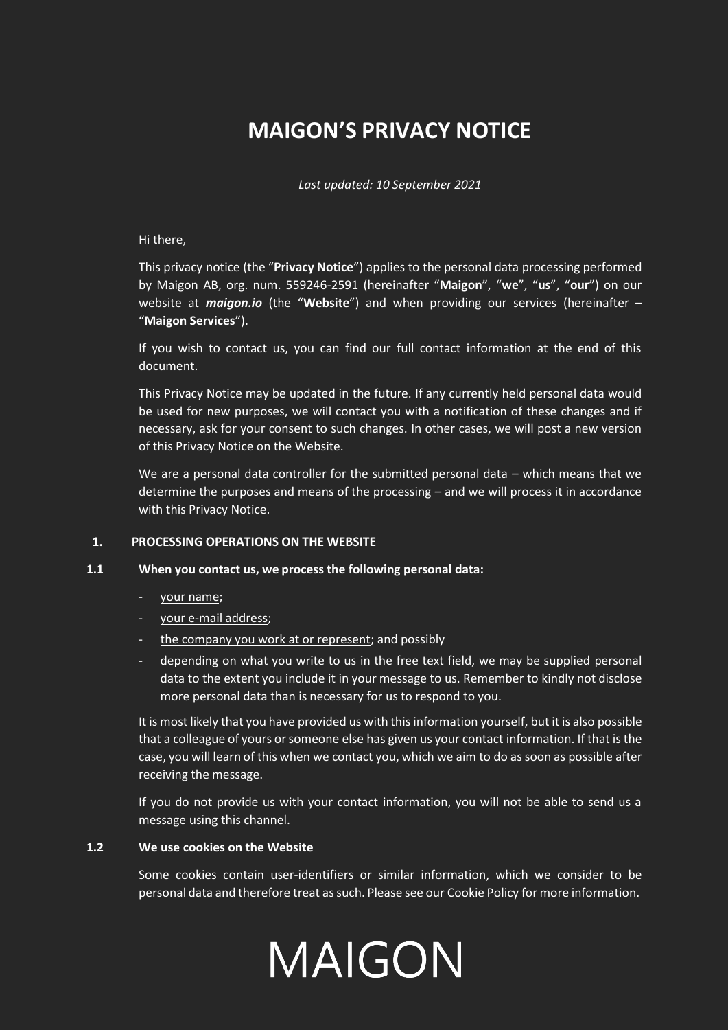# **MAIGON'S PRIVACY NOTICE**

*Last updated: 10 September 2021*

# Hi there,

This privacy notice (the "**Privacy Notice**") applies to the personal data processing performed by Maigon AB, org. num. 559246-2591 (hereinafter "**Maigon**", "**we**", "**us**", "**our**") on our website at *maigon.io* (the "**Website**") and when providing our services (hereinafter – "**Maigon Services**").

If you wish to contact us, you can find our full contact information at the end of this document.

This Privacy Notice may be updated in the future. If any currently held personal data would be used for new purposes, we will contact you with a notification of these changes and if necessary, ask for your consent to such changes. In other cases, we will post a new version of this Privacy Notice on the Website.

We are a personal data controller for the submitted personal data – which means that we determine the purposes and means of the processing – and we will process it in accordance with this Privacy Notice.

#### **1. PROCESSING OPERATIONS ON THE WEBSITE**

#### **1.1 When you contact us, we process the following personal data:**

- your name;
- your e-mail address;
- the company you work at or represent; and possibly
- depending on what you write to us in the free text field, we may be supplied personal data to the extent you include it in your message to us. Remember to kindly not disclose more personal data than is necessary for us to respond to you.

It is most likely that you have provided us with this information yourself, but it is also possible that a colleague of yours or someone else has given us your contact information. If that is the case, you will learn of this when we contact you, which we aim to do as soon as possible after receiving the message.

If you do not provide us with your contact information, you will not be able to send us a message using this channel.

#### **1.2 We use cookies on the Website**

Some cookies contain user-identifiers or similar information, which we consider to be personal data and therefore treat assuch. Please see our Cookie Policy for more information.

# MAIGON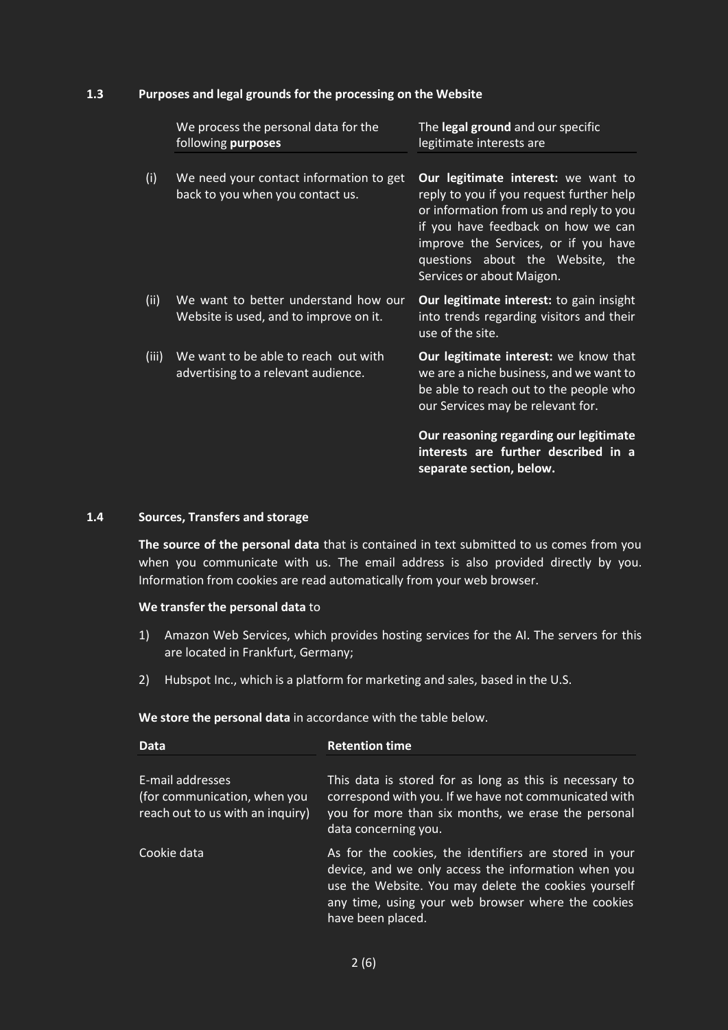#### **1.3 Purposes and legal grounds for the processing on the Website**

|       | We process the personal data for the<br>following purposes                     | The legal ground and our specific<br>legitimate interests are                                                                                                                                                                                                             |
|-------|--------------------------------------------------------------------------------|---------------------------------------------------------------------------------------------------------------------------------------------------------------------------------------------------------------------------------------------------------------------------|
| (i)   | We need your contact information to get<br>back to you when you contact us.    | Our legitimate interest: we want to<br>reply to you if you request further help<br>or information from us and reply to you<br>if you have feedback on how we can<br>improve the Services, or if you have<br>questions about the Website, the<br>Services or about Maigon. |
| (ii)  | We want to better understand how our<br>Website is used, and to improve on it. | Our legitimate interest: to gain insight<br>into trends regarding visitors and their<br>use of the site.                                                                                                                                                                  |
| (iii) | We want to be able to reach out with<br>advertising to a relevant audience.    | Our legitimate interest: we know that<br>we are a niche business, and we want to<br>be able to reach out to the people who<br>our Services may be relevant for.                                                                                                           |
|       |                                                                                | Our reasoning regarding our legitimate<br>interests are further described in a<br>separate section, below.                                                                                                                                                                |

# **1.4 Sources, Transfers and storage**

**The source of the personal data** that is contained in text submitted to us comes from you when you communicate with us. The email address is also provided directly by you. Information from cookies are read automatically from your web browser.

#### **We transfer the personal data** to

- 1) Amazon Web Services, which provides hosting services for the AI. The servers for this are located in Frankfurt, Germany;
- 2) Hubspot Inc., which is a platform for marketing and sales, based in the U.S.

**We store the personal data** in accordance with the table below.

| <b>Data</b>                                                                          | <b>Retention time</b>                                                                                                                                                                                                                            |
|--------------------------------------------------------------------------------------|--------------------------------------------------------------------------------------------------------------------------------------------------------------------------------------------------------------------------------------------------|
|                                                                                      |                                                                                                                                                                                                                                                  |
| E-mail addresses<br>(for communication, when you<br>reach out to us with an inquiry) | This data is stored for as long as this is necessary to<br>correspond with you. If we have not communicated with<br>you for more than six months, we erase the personal<br>data concerning you.                                                  |
| Cookie data                                                                          | As for the cookies, the identifiers are stored in your<br>device, and we only access the information when you<br>use the Website. You may delete the cookies yourself<br>any time, using your web browser where the cookies<br>have been placed. |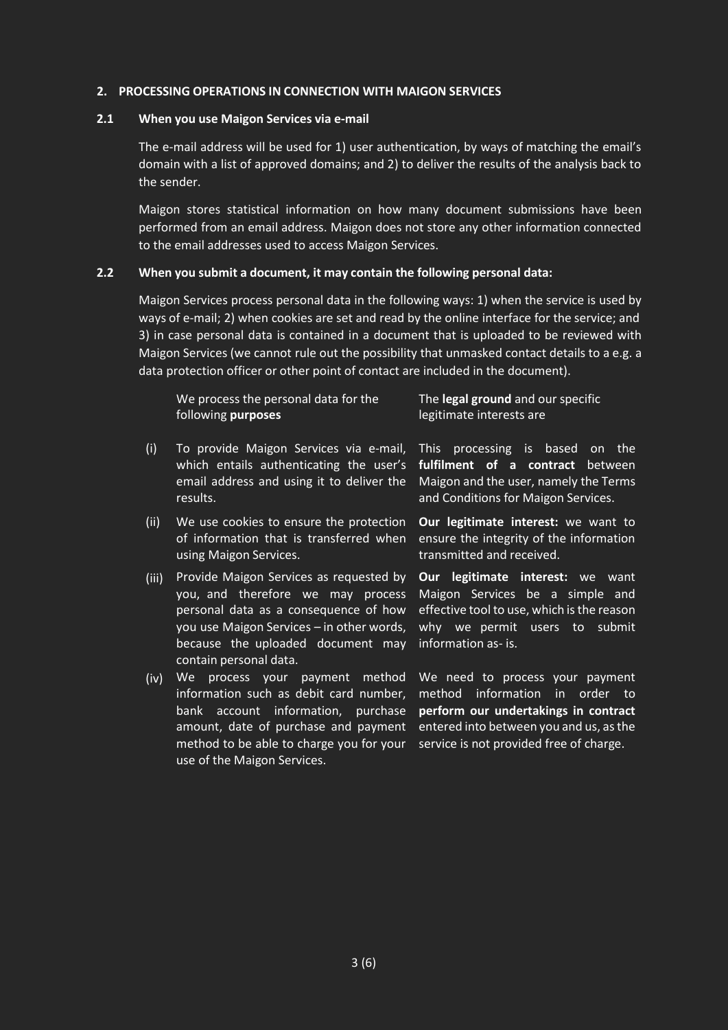#### **2. PROCESSING OPERATIONS IN CONNECTION WITH MAIGON SERVICES**

# **2.1 When you use Maigon Services via e-mail**

The e-mail address will be used for 1) user authentication, by ways of matching the email's domain with a list of approved domains; and 2) to deliver the results of the analysis back to the sender.

Maigon stores statistical information on how many document submissions have been performed from an email address. Maigon does not store any other information connected to the email addresses used to access Maigon Services.

# **2.2 When you submit a document, it may contain the following personal data:**

Maigon Services process personal data in the following ways: 1) when the service is used by ways of e-mail; 2) when cookies are set and read by the online interface for the service; and 3) in case personal data is contained in a document that is uploaded to be reviewed with Maigon Services (we cannot rule out the possibility that unmasked contact details to a e.g. a data protection officer or other point of contact are included in the document).

We process the personal data for the following **purposes**

- (i) To provide Maigon Services via e-mail, This processing is based on the which entails authenticating the user's **fulfilment of a contract** between email address and using it to deliver the results.
- (ii) We use cookies to ensure the protection of information that is transferred when using Maigon Services.
- (iii) Provide Maigon Services as requested by you, and therefore we may process Maigon Services be a simple and personal data as a consequence of how you use Maigon Services – in other words, because the uploaded document may contain personal data.
- (iv) We process your payment method We need to process your payment information such as debit card number, bank account information, purchase amount, date of purchase and payment entered into between you and us, as the method to be able to charge you for your service is not provided free of charge.use of the Maigon Services.

The **legal ground** and our specific legitimate interests are

Maigon and the user, namely the Terms and Conditions for Maigon Services.

**Our legitimate interest:** we want to ensure the integrity of the information transmitted and received.

**Our legitimate interest:** we want effective tool to use, which is the reason why we permit users to submit information as- is.

method information in order to **perform our undertakings in contract**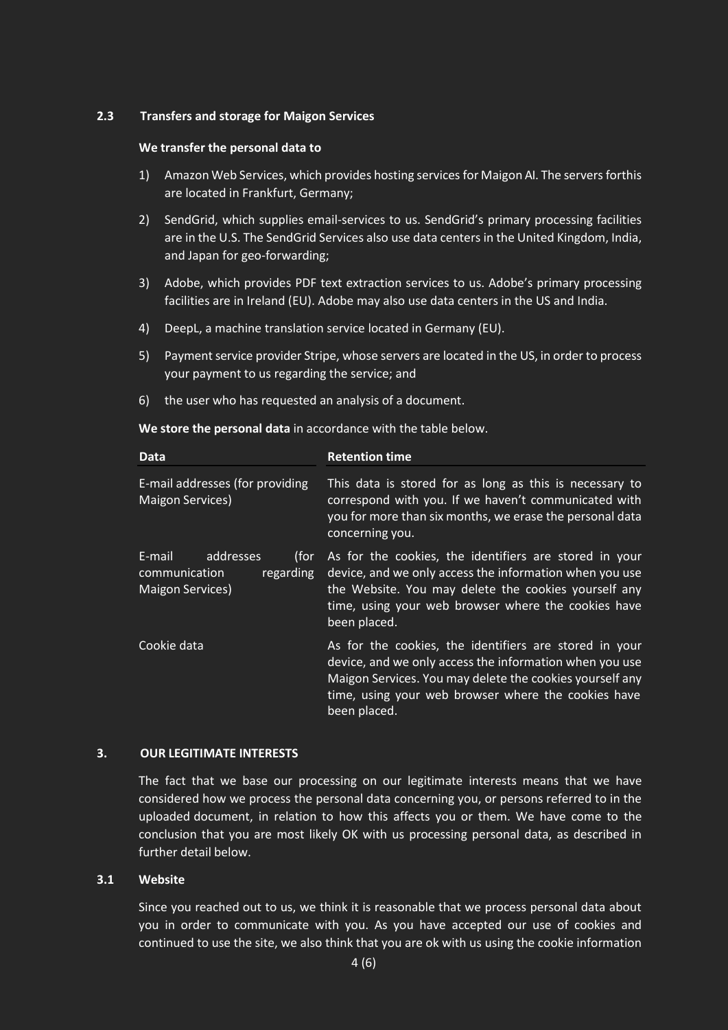#### **2.3 Transfers and storage for Maigon Services**

#### **We transfer the personal data to**

- 1) Amazon Web Services, which provides hosting services for Maigon AI. The servers forthis are located in Frankfurt, Germany;
- 2) SendGrid, which supplies email-services to us. SendGrid's primary processing facilities are in the U.S. The SendGrid Services also use data centers in the United Kingdom, India, and Japan for geo-forwarding;
- 3) Adobe, which provides PDF text extraction services to us. Adobe's primary processing facilities are in Ireland (EU). Adobe may also use data centers in the US and India.
- 4) DeepL, a machine translation service located in Germany (EU).
- 5) Payment service provider Stripe, whose servers are located in the US, in order to process your payment to us regarding the service; and
- 6) the user who has requested an analysis of a document.

**We store the personal data** in accordance with the table below.

| Data                                                                                 | <b>Retention time</b>                                                                                                                                                                                                                                |
|--------------------------------------------------------------------------------------|------------------------------------------------------------------------------------------------------------------------------------------------------------------------------------------------------------------------------------------------------|
| E-mail addresses (for providing<br><b>Maigon Services)</b>                           | This data is stored for as long as this is necessary to<br>correspond with you. If we haven't communicated with<br>you for more than six months, we erase the personal data<br>concerning you.                                                       |
| E-mail<br>addresses<br>(for<br>regarding<br>communication<br><b>Maigon Services)</b> | As for the cookies, the identifiers are stored in your<br>device, and we only access the information when you use<br>the Website. You may delete the cookies yourself any<br>time, using your web browser where the cookies have<br>been placed.     |
| Cookie data                                                                          | As for the cookies, the identifiers are stored in your<br>device, and we only access the information when you use<br>Maigon Services. You may delete the cookies yourself any<br>time, using your web browser where the cookies have<br>been placed. |

#### **3. OUR LEGITIMATE INTERESTS**

The fact that we base our processing on our legitimate interests means that we have considered how we process the personal data concerning you, or persons referred to in the uploaded document, in relation to how this affects you or them. We have come to the conclusion that you are most likely OK with us processing personal data, as described in further detail below.

#### **3.1 Website**

Since you reached out to us, we think it is reasonable that we process personal data about you in order to communicate with you. As you have accepted our use of cookies and continued to use the site, we also think that you are ok with us using the cookie information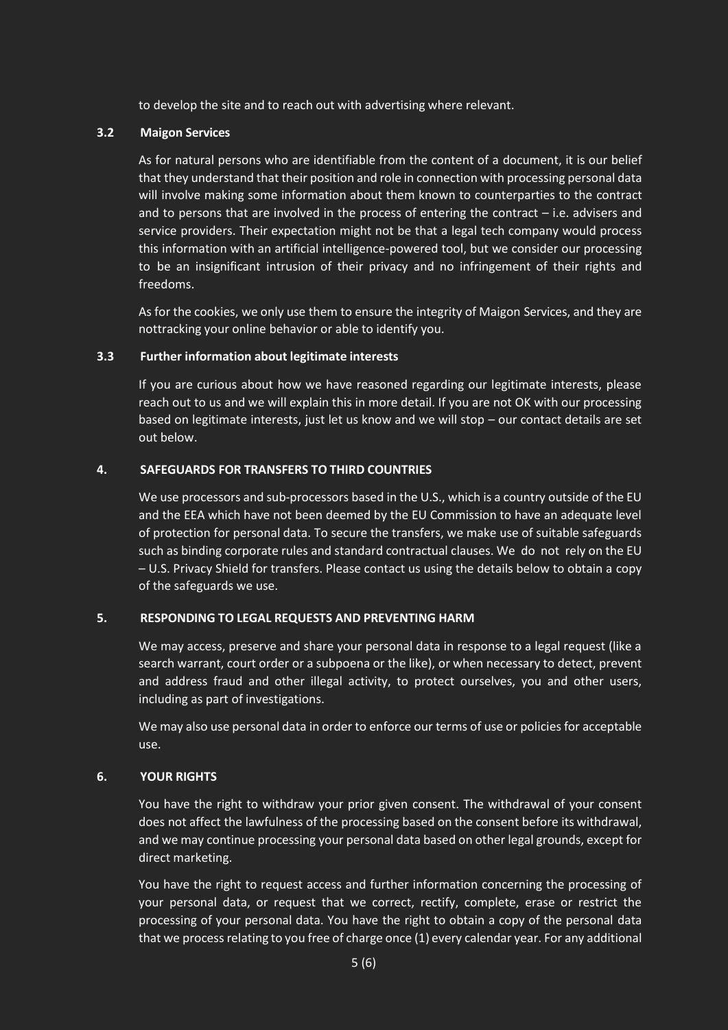to develop the site and to reach out with advertising where relevant.

#### **3.2 Maigon Services**

As for natural persons who are identifiable from the content of a document, it is our belief that they understand that their position and role in connection with processing personal data will involve making some information about them known to counterparties to the contract and to persons that are involved in the process of entering the contract – i.e. advisers and service providers. Their expectation might not be that a legal tech company would process this information with an artificial intelligence-powered tool, but we consider our processing to be an insignificant intrusion of their privacy and no infringement of their rights and freedoms.

As for the cookies, we only use them to ensure the integrity of Maigon Services, and they are nottracking your online behavior or able to identify you.

#### **3.3 Further information about legitimate interests**

If you are curious about how we have reasoned regarding our legitimate interests, please reach out to us and we will explain this in more detail. If you are not OK with our processing based on legitimate interests, just let us know and we will stop – our contact details are set out below.

#### **4. SAFEGUARDS FOR TRANSFERS TO THIRD COUNTRIES**

We use processors and sub-processors based in the U.S., which is a country outside of the EU and the EEA which have not been deemed by the EU Commission to have an adequate level of protection for personal data. To secure the transfers, we make use of suitable safeguards such as binding corporate rules and standard contractual clauses. We do not rely on the EU – U.S. Privacy Shield for transfers. Please contact us using the details below to obtain a copy of the safeguards we use.

#### **5. RESPONDING TO LEGAL REQUESTS AND PREVENTING HARM**

We may access, preserve and share your personal data in response to a legal request (like a search warrant, court order or a subpoena or the like), or when necessary to detect, prevent and address fraud and other illegal activity, to protect ourselves, you and other users, including as part of investigations.

We may also use personal data in order to enforce our terms of use or policies for acceptable use.

# **6. YOUR RIGHTS**

You have the right to withdraw your prior given consent. The withdrawal of your consent does not affect the lawfulness of the processing based on the consent before its withdrawal, and we may continue processing your personal data based on other legal grounds, except for direct marketing.

You have the right to request access and further information concerning the processing of your personal data, or request that we correct, rectify, complete, erase or restrict the processing of your personal data. You have the right to obtain a copy of the personal data that we process relating to you free of charge once (1) every calendar year. For any additional